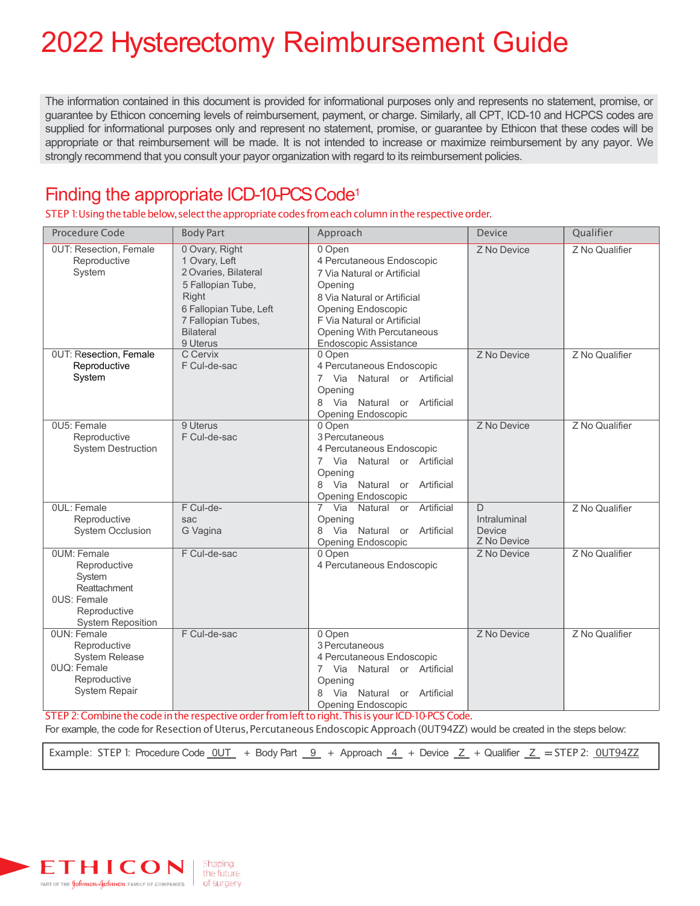# 2022 Hysterectomy Reimbursement Guide

The information contained in this document is provided for informational purposes only and represents no statement, promise, or guarantee by Ethicon concerning levels of reimbursement, payment, or charge. Similarly, all CPT, ICD-10 and HCPCS codes are supplied for informational purposes only and represent no statement, promise, or guarantee by Ethicon that these codes will be appropriate or that reimbursement will be made. It is not intended to increase or maximize reimbursement by any payor. We strongly recommend that you consult your payor organization with regard to its reimbursement policies.

### Finding the appropriate ICD-10-PCS Code<sup>1</sup>

STEP 1: Using the table below, select the appropriate codes from each column in the respective order.

| Procedure Code                                                                                                                 | <b>Body Part</b>                                                                                                                                                      | Approach                                                                                                                                                                                                                       | <b>Device</b>                               | Qualifier      |
|--------------------------------------------------------------------------------------------------------------------------------|-----------------------------------------------------------------------------------------------------------------------------------------------------------------------|--------------------------------------------------------------------------------------------------------------------------------------------------------------------------------------------------------------------------------|---------------------------------------------|----------------|
| <b>0UT: Resection, Female</b><br>Reproductive<br>System                                                                        | 0 Ovary, Right<br>1 Ovary, Left<br>2 Ovaries, Bilateral<br>5 Fallopian Tube,<br>Right<br>6 Fallopian Tube, Left<br>7 Fallopian Tubes,<br><b>Bilateral</b><br>9 Uterus | 0 Open<br>4 Percutaneous Endoscopic<br>7 Via Natural or Artificial<br>Opening<br>8 Via Natural or Artificial<br>Opening Endoscopic<br>F Via Natural or Artificial<br><b>Opening With Percutaneous</b><br>Endoscopic Assistance | Z No Device                                 | Z No Qualifier |
| <b>OUT: Resection, Female</b><br>Reproductive                                                                                  | C Cervix<br>F Cul-de-sac                                                                                                                                              | 0 Open<br>4 Percutaneous Endoscopic                                                                                                                                                                                            | Z No Device                                 | Z No Qualifier |
| System                                                                                                                         |                                                                                                                                                                       | Via Natural or Artificial<br>7<br>Opening<br>8 Via Natural or Artificial<br><b>Opening Endoscopic</b>                                                                                                                          |                                             |                |
| 0U5: Female<br>Reproductive<br><b>System Destruction</b>                                                                       | 9 Uterus<br>F Cul-de-sac                                                                                                                                              | 0 Open<br>3 Percutaneous<br>4 Percutaneous Endoscopic<br>7 Via Natural or Artificial<br>Opening<br>Via Natural or Artificial<br>8<br><b>Opening Endoscopic</b>                                                                 | Z No Device                                 | Z No Qualifier |
| <b>OUL: Female</b><br>Reproductive<br><b>System Occlusion</b>                                                                  | F Cul-de-<br>sac<br>G Vagina                                                                                                                                          | Natural or Artificial<br>Via<br>$\overline{7}$<br>Opening<br>Via Natural or Artificial<br>8<br><b>Opening Endoscopic</b>                                                                                                       | D.<br>Intraluminal<br>Device<br>Z No Device | Z No Qualifier |
| <b>OUM: Female</b><br>Reproductive<br>System<br>Reattachment<br><b>OUS: Female</b><br>Reproductive<br><b>System Reposition</b> | F Cul-de-sac                                                                                                                                                          | 0 Open<br>4 Percutaneous Endoscopic                                                                                                                                                                                            | Z No Device                                 | Z No Qualifier |
| <b>OUN: Female</b><br>Reproductive<br><b>System Release</b><br>0UQ: Female<br>Reproductive<br><b>System Repair</b>             | F Cul-de-sac                                                                                                                                                          | 0 Open<br>3 Percutaneous<br>4 Percutaneous Endoscopic<br>Via Natural or Artificial<br>$\overline{7}$<br>Opening<br>Via Natural<br>or Artificial<br><b>Opening Endoscopic</b>                                                   | Z No Device                                 | Z No Qualifier |

STEP 2: Combine the code in the respective order from left to right. This is your ICD-10-PCS Code.

For example, the code for Resection of Uterus, Percutaneous Endoscopic Approach (0UT94ZZ) would be created in the steps below:

Example: STEP 1: Procedure Code  $\underline{OUT}$  + Body Part  $\underline{9}$  + Approach  $\underline{4}$  + Device  $\underline{Z}$  + Qualifier  $\underline{Z}$  = STEP 2:  $\underline{OUT94ZZ}$ 

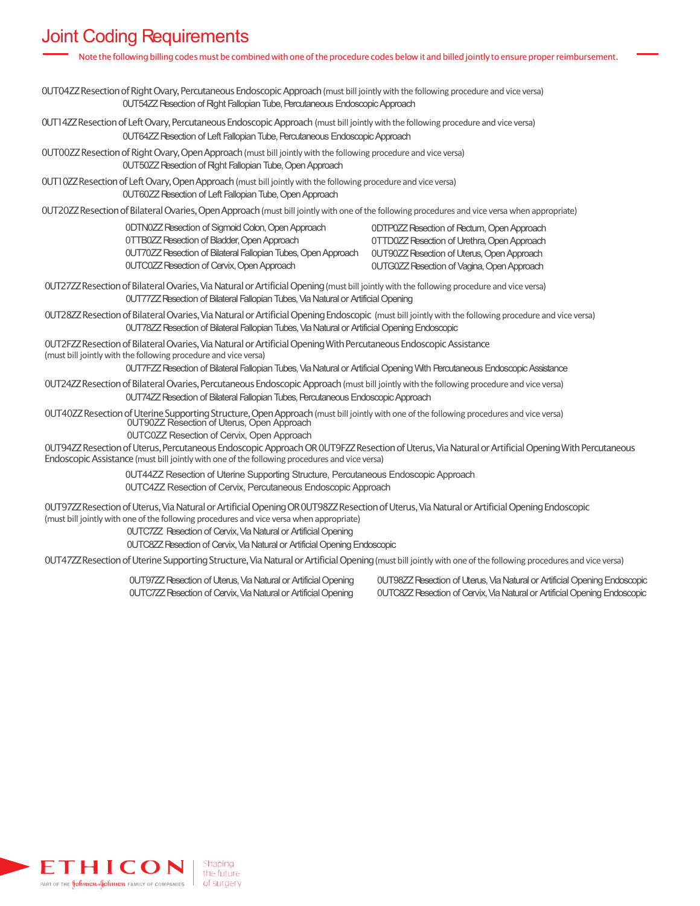## Joint Coding Requirements

| Note the following billing codes must be combined with one of the procedure codes below it and billed jointly to ensure proper reimbursement.                                                                                                                                                                                                                                          |                                                                                                                                                                                                     |
|----------------------------------------------------------------------------------------------------------------------------------------------------------------------------------------------------------------------------------------------------------------------------------------------------------------------------------------------------------------------------------------|-----------------------------------------------------------------------------------------------------------------------------------------------------------------------------------------------------|
| OUTO4ZZ Resection of Right Ovary, Percutaneous Endoscopic Approach (must bill jointly with the following procedure and vice versa)<br>0UT54ZZ Resection of Right Fallopian Tube, Percutaneous Endoscopic Approach                                                                                                                                                                      |                                                                                                                                                                                                     |
| OUT14ZZ Resection of Left Ovary, Percutaneous Endoscopic Approach (must bill jointly with the following procedure and vice versa)<br>OUT64ZZ Resection of Left Fallopian Tube, Percutaneous Endoscopic Approach                                                                                                                                                                        |                                                                                                                                                                                                     |
| OUTO0ZZ Resection of Right Ovary, Open Approach (must bill jointly with the following procedure and vice versa)<br>0UT50ZZ Resection of Right Fallopian Tube, Open Approach                                                                                                                                                                                                            |                                                                                                                                                                                                     |
| OUT10ZZ Resection of Left Ovary, Open Approach (must bill jointly with the following procedure and vice versa)<br>OUT60ZZ Resection of Left Fallopian Tube, Open Approach                                                                                                                                                                                                              |                                                                                                                                                                                                     |
| OUT20ZZ Resection of Bilateral Ovaries, Open Approach (must bill jointly with one of the following procedures and vice versa when appropriate)                                                                                                                                                                                                                                         |                                                                                                                                                                                                     |
| 0DTN0ZZ Resection of Sigmoid Colon, Open Approach<br><b>OTTBOZZ Resection of Bladder, Open Approach</b><br>0UT70ZZ Resection of Bilateral Fallopian Tubes, Open Approach<br><b>OUTCOZZ Resection of Cervix, Open Approach</b>                                                                                                                                                          | 0DTP0ZZ Resection of Rectum, Open Approach<br>0TTD0ZZ Resection of Urethra, Open Approach<br><b>OUT90ZZ Resection of Uterus, Open Approach</b><br><b>OUTGOZZ Resection of Vagina, Open Approach</b> |
| OUT27ZZ Resection of Bilateral Ovaries, Via Natural or Artificial Opening (must bill jointly with the following procedure and vice versa)<br>0UT77ZZ Resection of Bilateral Fallopian Tubes, Via Natural or Artificial Opening                                                                                                                                                         |                                                                                                                                                                                                     |
| OUT28ZZ Resection of Bilateral Ovaries, Via Natural or Artificial Opening Endoscopic (must bill jointly with the following procedure and vice versa)<br>0UT78ZZ Resection of Bilateral Fallopian Tubes, Via Natural or Artificial Opening Endoscopic                                                                                                                                   |                                                                                                                                                                                                     |
| OUT2FZZ Resection of Bilateral Ovaries, Via Natural or Artificial Opening With Percutaneous Endoscopic Assistance<br>(must bill jointly with the following procedure and vice versa)                                                                                                                                                                                                   |                                                                                                                                                                                                     |
| 0UT7FZZ Resection of Bilateral Fallopian Tubes, Via Natural or Artificial Opening With Percutaneous Endoscopic Assistance                                                                                                                                                                                                                                                              |                                                                                                                                                                                                     |
| OUT24ZZ Resection of Bilateral Ovaries, Percutaneous Endoscopic Approach (must bill jointly with the following procedure and vice versa)<br>0UT74ZZ Resection of Bilateral Fallopian Tubes, Percutaneous Endoscopic Approach                                                                                                                                                           |                                                                                                                                                                                                     |
| OUT40ZZ Resection of Uterine Supporting Structure, Open Approach (must bill jointly with one of the following procedures and vice versa)<br>OUT90ZZ Resection of Uterus, Open Approach                                                                                                                                                                                                 |                                                                                                                                                                                                     |
| 0UTC0ZZ Resection of Cervix, Open Approach<br>OUT94ZZ Resection of Uterus, Percutaneous Endoscopic Approach OR OUT9FZZ Resection of Uterus, Via Natural or Artificial Opening With Percutaneous<br>Endoscopic Assistance (must bill jointly with one of the following procedures and vice versa)                                                                                       |                                                                                                                                                                                                     |
| 0UT44ZZ Resection of Uterine Supporting Structure, Percutaneous Endoscopic Approach<br>0UTC4ZZ Resection of Cervix, Percutaneous Endoscopic Approach                                                                                                                                                                                                                                   |                                                                                                                                                                                                     |
| 0UT97ZZ Resection of Uterus, Via Natural or Artificial Opening OR 0UT98ZZ Resection of Uterus, Via Natural or Artificial Opening Endoscopic<br>(must bill jointly with one of the following procedures and vice versa when appropriate)<br>OUTC7ZZ Resection of Cervix, Via Natural or Artificial Opening<br>OUTC8ZZ Resection of Cervix, Via Natural or Artificial Opening Endoscopic |                                                                                                                                                                                                     |
| OUT47ZZ Resection of Uterine Supporting Structure, Via Natural or Artificial Opening (must bill jointly with one of the following procedures and vice versa)                                                                                                                                                                                                                           |                                                                                                                                                                                                     |
|                                                                                                                                                                                                                                                                                                                                                                                        |                                                                                                                                                                                                     |

0UT97ZZ Resection of Uterus, Via Natural or Artificial Opening 0UTC7ZZ Resection of Cervix, Via Natural or Artificial Opening

0UT98ZZ Resection of Uterus, Via Natural or Artificial Opening Endoscopic 0UTC8ZZ Resection of Cervix, Via Natural or Artificial Opening Endoscopic

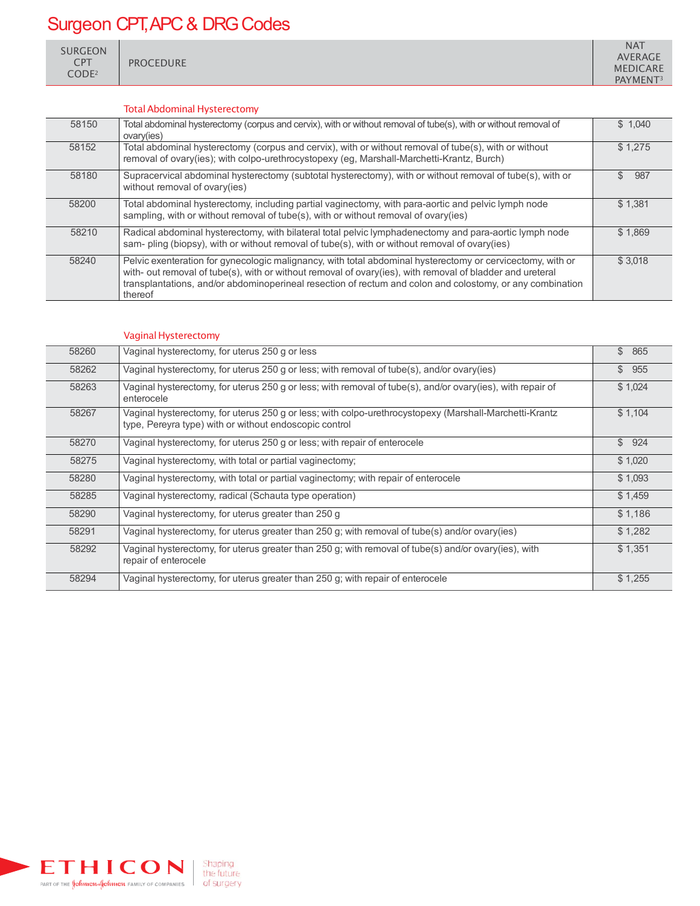# Surgeon CPT, APC & DRG Codes

SURGEON CPT CODE2

PROCEDURE

#### TotalAbdominal Hysterectomy

| 58150 | Total abdominal hysterectomy (corpus and cervix), with or without removal of tube(s), with or without removal of<br>ovary(ies)                                                                                                                                                                                                                  | \$1.040    |
|-------|-------------------------------------------------------------------------------------------------------------------------------------------------------------------------------------------------------------------------------------------------------------------------------------------------------------------------------------------------|------------|
| 58152 | Total abdominal hysterectomy (corpus and cervix), with or without removal of tube(s), with or without<br>removal of ovary(ies); with colpo-urethrocystopexy (eg, Marshall-Marchetti-Krantz, Burch)                                                                                                                                              | \$1,275    |
| 58180 | Supracervical abdominal hysterectomy (subtotal hysterectomy), with or without removal of tube(s), with or<br>without removal of ovary(ies)                                                                                                                                                                                                      | \$.<br>987 |
| 58200 | Total abdominal hysterectomy, including partial vaginectomy, with para-aortic and pelvic lymph node<br>sampling, with or without removal of tube(s), with or without removal of ovary(ies)                                                                                                                                                      | \$1,381    |
| 58210 | Radical abdominal hysterectomy, with bilateral total pelvic lymphadenectomy and para-aortic lymph node<br>sam- pling (biopsy), with or without removal of tube(s), with or without removal of ovary(ies)                                                                                                                                        | \$1,869    |
| 58240 | Pelvic exenteration for gynecologic malignancy, with total abdominal hysterectomy or cervicectomy, with or<br>with- out removal of tube(s), with or without removal of ovary(ies), with removal of bladder and ureteral<br>transplantations, and/or abdominoperineal resection of rectum and colon and colostomy, or any combination<br>thereof | \$3.018    |

#### Vaginal Hysterectomy

| 58260 | Vaginal hysterectomy, for uterus 250 g or less                                                                                                                   | \$<br>865 |
|-------|------------------------------------------------------------------------------------------------------------------------------------------------------------------|-----------|
| 58262 | Vaginal hysterectomy, for uterus 250 g or less; with removal of tube(s), and/or ovary(ies)                                                                       | \$955     |
| 58263 | Vaginal hysterectomy, for uterus 250 g or less; with removal of tube(s), and/or ovary(ies), with repair of<br>enterocele                                         | \$1,024   |
| 58267 | Vaginal hysterectomy, for uterus 250 g or less; with colpo-urethrocystopexy (Marshall-Marchetti-Krantz<br>type, Pereyra type) with or without endoscopic control | \$1,104   |
| 58270 | Vaginal hysterectomy, for uterus 250 g or less; with repair of enterocele                                                                                        | \$924     |
| 58275 | Vaginal hysterectomy, with total or partial vaginectomy;                                                                                                         | \$1,020   |
| 58280 | Vaginal hysterectomy, with total or partial vaginectomy; with repair of enterocele                                                                               | \$1,093   |
| 58285 | Vaginal hysterectomy, radical (Schauta type operation)                                                                                                           | \$1,459   |
| 58290 | Vaginal hysterectomy, for uterus greater than 250 g                                                                                                              | \$1,186   |
| 58291 | Vaginal hysterectomy, for uterus greater than 250 g; with removal of tube(s) and/or ovary(ies)                                                                   | \$1,282   |
| 58292 | Vaginal hysterectomy, for uterus greater than 250 g; with removal of tube(s) and/or ovary(ies), with<br>repair of enterocele                                     | \$1,351   |
| 58294 | Vaginal hysterectomy, for uterus greater than 250 g; with repair of enterocele                                                                                   | \$1,255   |

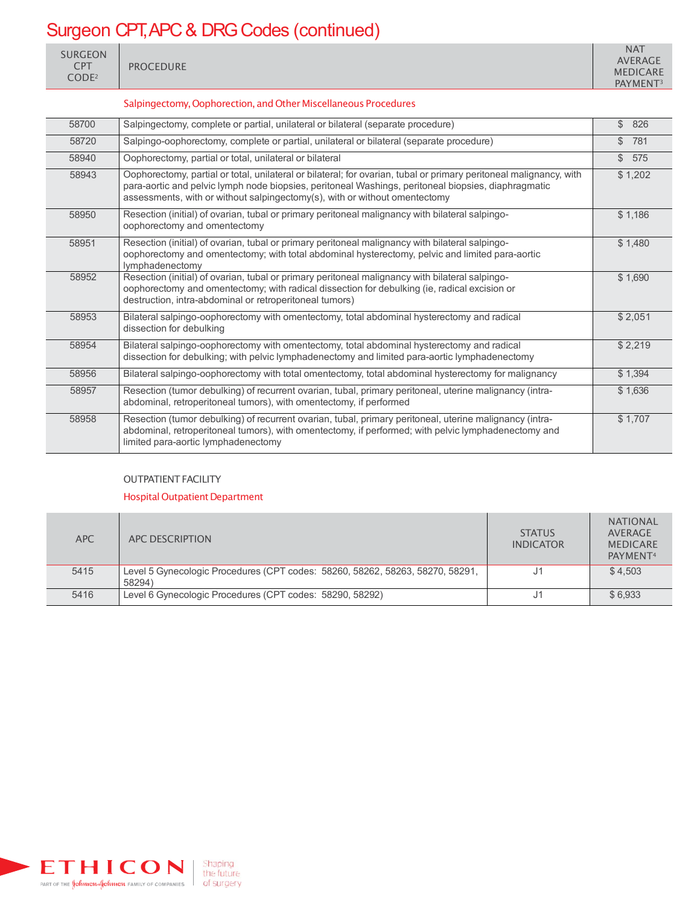# Surgeon CPT, APC & DRG Codes (continued)

| <b>SURGEON</b><br>$\mathsf{C}\mathsf{P}\mathsf{T}$<br>CODE <sup>2</sup> | <b>PROCEDURE</b> | <b>NAT</b><br><b>AVERAGE</b><br><b>MEDICARE</b><br>PAYMENT <sup>3</sup> |
|-------------------------------------------------------------------------|------------------|-------------------------------------------------------------------------|
|-------------------------------------------------------------------------|------------------|-------------------------------------------------------------------------|

#### Salpingectomy, Oophorection, and Other Miscellaneous Procedures

| 58700 | Salpingectomy, complete or partial, unilateral or bilateral (separate procedure)                                                                                                                                                                                                                        | $\mathbb{S}$<br>826 |
|-------|---------------------------------------------------------------------------------------------------------------------------------------------------------------------------------------------------------------------------------------------------------------------------------------------------------|---------------------|
| 58720 | Salpingo-oophorectomy, complete or partial, unilateral or bilateral (separate procedure)                                                                                                                                                                                                                | $\mathbb{S}$<br>781 |
| 58940 | Oophorectomy, partial or total, unilateral or bilateral                                                                                                                                                                                                                                                 | \$575               |
| 58943 | Oophorectomy, partial or total, unilateral or bilateral; for ovarian, tubal or primary peritoneal malignancy, with<br>para-aortic and pelvic lymph node biopsies, peritoneal Washings, peritoneal biopsies, diaphragmatic<br>assessments, with or without salpingectomy(s), with or without omentectomy | \$1,202             |
| 58950 | Resection (initial) of ovarian, tubal or primary peritoneal malignancy with bilateral salpingo-<br>oophorectomy and omentectomy                                                                                                                                                                         | \$1,186             |
| 58951 | Resection (initial) of ovarian, tubal or primary peritoneal malignancy with bilateral salpingo-<br>oophorectomy and omentectomy; with total abdominal hysterectomy, pelvic and limited para-aortic<br>lymphadenectomy                                                                                   | \$1,480             |
| 58952 | Resection (initial) of ovarian, tubal or primary peritoneal malignancy with bilateral salpingo-<br>oophorectomy and omentectomy; with radical dissection for debulking (ie, radical excision or<br>destruction, intra-abdominal or retroperitoneal tumors)                                              | \$1,690             |
| 58953 | Bilateral salpingo-oophorectomy with omentectomy, total abdominal hysterectomy and radical<br>dissection for debulking                                                                                                                                                                                  | \$2,051             |
| 58954 | Bilateral salpingo-oophorectomy with omentectomy, total abdominal hysterectomy and radical<br>dissection for debulking; with pelvic lymphadenectomy and limited para-aortic lymphadenectomy                                                                                                             | \$2,219             |
| 58956 | Bilateral salpingo-oophorectomy with total omentectomy, total abdominal hysterectomy for malignancy                                                                                                                                                                                                     | \$1,394             |
| 58957 | Resection (tumor debulking) of recurrent ovarian, tubal, primary peritoneal, uterine malignancy (intra-<br>abdominal, retroperitoneal tumors), with omentectomy, if performed                                                                                                                           | \$1,636             |
| 58958 | Resection (tumor debulking) of recurrent ovarian, tubal, primary peritoneal, uterine malignancy (intra-<br>abdominal, retroperitoneal tumors), with omentectomy, if performed; with pelvic lymphadenectomy and<br>limited para-aortic lymphadenectomy                                                   | \$1,707             |

#### OUTPATIENT FACILITY

#### Hospital Outpatient Department

| <b>APC</b> | APC DESCRIPTION                                                               | <b>STATUS</b><br><b>INDICATOR</b> | <b>NATIONAL</b><br>AVERAGE<br><b>MEDICARE</b><br>PAYMENT <sup>4</sup> |
|------------|-------------------------------------------------------------------------------|-----------------------------------|-----------------------------------------------------------------------|
| 5415       | Level 5 Gynecologic Procedures (CPT codes: 58260, 58262, 58263, 58270, 58291, |                                   | \$4.503                                                               |
|            | 58294)                                                                        |                                   |                                                                       |
| 5416       | Level 6 Gynecologic Procedures (CPT codes: 58290, 58292)                      | J1                                | \$6.933                                                               |